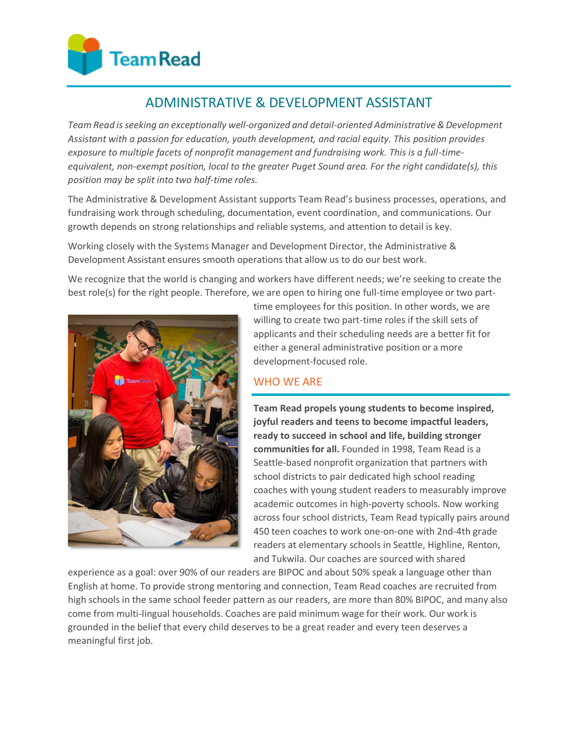# **Team Read**

# ADMINISTRATIVE & DEVELOPMENT ASSISTANT

*Team Read isseeking an exceptionally well-organized and detail-oriented Administrative&Development Assistant with a passion for education, youth development, and racial equity. This position provides exposure to multiple facets of nonprofit management and fundraising work. This is a full-timeequivalent, non-exempt position, local to the greater Puget Sound area. For the right candidate(s), this position may be split into two half-time roles.*

The Administrative & Development Assistant supports Team Read's business processes, operations, and fundraising work through scheduling, documentation, event coordination, and communications. Our growth depends on strong relationships and reliable systems, and attention to detail is key.

Working closely with the Systems Manager and Development Director, the Administrative & Development Assistant ensures smooth operations that allow us to do our best work.

We recognize that the world is changing and workers have different needs; we're seeking to create the best role(s) for the right people. Therefore, we are open to hiring one full-time employee or two part-



time employees for this position. In other words, we are willing to create two part-time roles if the skill sets of applicants and their scheduling needs are a better fit for either a general administrative position or a more development-focused role.

# WHO WE ARE

**Team Read propels young students to become inspired, joyful readers and teens to become impactful leaders, ready to succeed in school and life, building stronger communities for all.** Founded in 1998, Team Read is a Seattle-based nonprofit organization that partners with school districts to pair dedicated high school reading coaches with young student readers to measurably improve academic outcomes in high-poverty schools. Now working across four school districts, Team Read typically pairs around 450 teen coaches to work one-on-one with 2nd-4th grade readers at elementary schools in Seattle, Highline, Renton, and Tukwila. Our coaches are sourced with shared

experience as a goal: over 90% of our readers are BIPOC and about 50% speak a language other than English at home. To provide strong mentoring and connection, Team Read coaches are recruited from high schools in the same school feeder pattern as our readers, are more than 80% BIPOC, and many also come from multi-lingual households. Coaches are paid minimum wage for their work. Our work is grounded in the belief that every child deserves to be a great reader and every teen deserves a meaningful first job.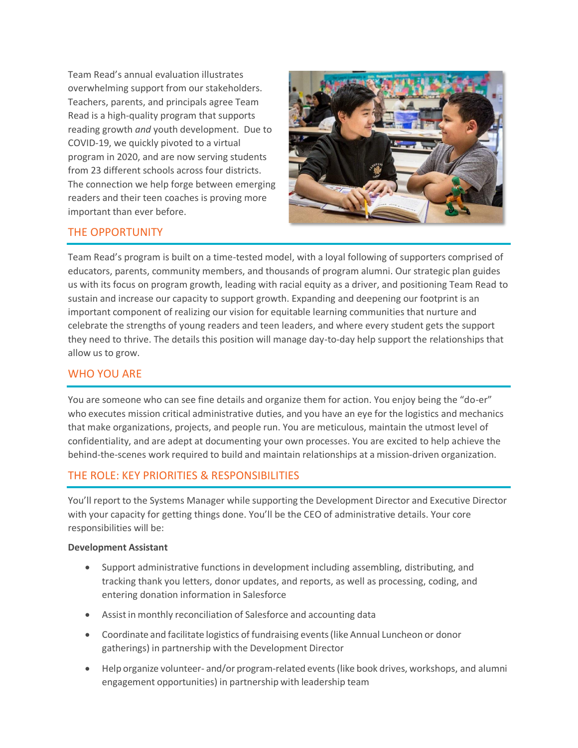Team Read's annual evaluation illustrates overwhelming support from our stakeholders. Teachers, parents, and principals agree Team Read is a high-quality program that supports reading growth *and* youth development. Due to COVID-19, we quickly pivoted to a virtual program in 2020, and are now serving students from 23 different schools across four districts. The connection we help forge between emerging readers and their teen coaches is proving more important than ever before.



# THE OPPORTUNITY

Team Read's program is built on a time-tested model, with a loyal following of supporters comprised of educators, parents, community members, and thousands of program alumni. Our strategic plan guides us with its focus on program growth, leading with racial equity as a driver, and positioning Team Read to sustain and increase our capacity to support growth. Expanding and deepening our footprint is an important component of realizing our vision for equitable learning communities that nurture and celebrate the strengths of young readers and teen leaders, and where every student gets the support they need to thrive. The details this position will manage day-to-day help support the relationships that allow us to grow.

## WHO YOU ARE

You are someone who can see fine details and organize them for action. You enjoy being the "do-er" who executes mission critical administrative duties, and you have an eye for the logistics and mechanics that make organizations, projects, and people run. You are meticulous, maintain the utmost level of confidentiality, and are adept at documenting your own processes. You are excited to help achieve the behind-the-scenes work required to build and maintain relationships at a mission-driven organization.

# THE ROLE: KEY PRIORITIES & RESPONSIBILITIES

You'll report to the Systems Manager while supporting the Development Director and Executive Director with your capacity for getting things done. You'll be the CEO of administrative details. Your core responsibilities will be:

#### **Development Assistant**

- Support administrative functions in development including assembling, distributing, and tracking thank you letters, donor updates, and reports, as well as processing, coding, and entering donation information in Salesforce
- Assistin monthly reconciliation of Salesforce and accounting data
- Coordinate and facilitate logistics of fundraising events(like Annual Luncheon or donor gatherings) in partnership with the Development Director
- Help organize volunteer- and/or program-related events(like book drives, workshops, and alumni engagement opportunities) in partnership with leadership team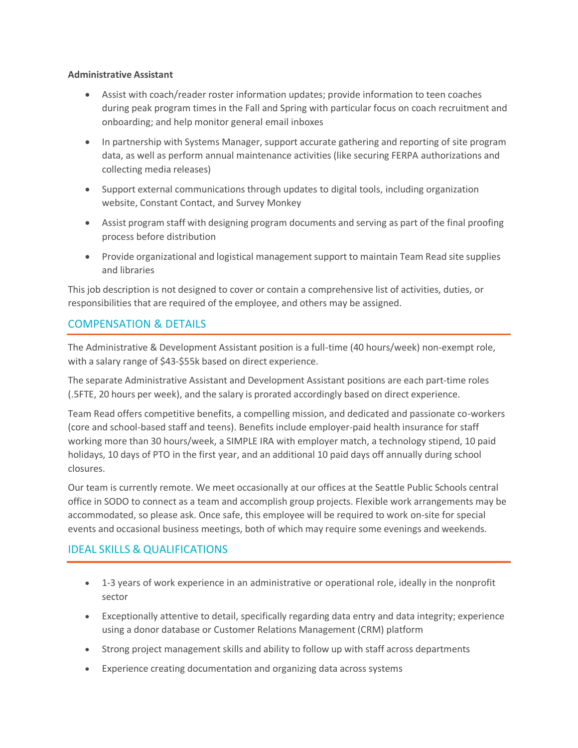#### **Administrative Assistant**

- Assist with coach/reader roster information updates; provide information to teen coaches during peak program times in the Fall and Spring with particular focus on coach recruitment and onboarding; and help monitor general email inboxes
- In partnership with Systems Manager, support accurate gathering and reporting of site program data, as well as perform annual maintenance activities (like securing FERPA authorizations and collecting media releases)
- Support external communications through updates to digital tools, including organization website, Constant Contact, and Survey Monkey
- Assist program staff with designing program documents and serving as part of the final proofing process before distribution
- Provide organizational and logistical management support to maintain Team Read site supplies and libraries

This job description is not designed to cover or contain a comprehensive list of activities, duties, or responsibilities that are required of the employee, and others may be assigned.

## COMPENSATION & DETAILS

The Administrative & Development Assistant position is a full-time (40 hours/week) non-exempt role, with a salary range of \$43-\$55k based on direct experience.

The separate Administrative Assistant and Development Assistant positions are each part-time roles (.5FTE, 20 hours per week), and the salary is prorated accordingly based on direct experience.

Team Read offers competitive benefits, a compelling mission, and dedicated and passionate co-workers (core and school-based staff and teens). Benefits include employer-paid health insurance for staff working more than 30 hours/week, a SIMPLE IRA with employer match, a technology stipend, 10 paid holidays, 10 days of PTO in the first year, and an additional 10 paid days off annually during school closures.

Our team is currently remote. We meet occasionally at our offices at the Seattle Public Schools central office in SODO to connect as a team and accomplish group projects. Flexible work arrangements may be accommodated, so please ask. Once safe, this employee will be required to work on-site for special events and occasional business meetings, both of which may require some evenings and weekends.

# IDEAL SKILLS & QUALIFICATIONS

- 1-3 years of work experience in an administrative or operational role, ideally in the nonprofit sector
- Exceptionally attentive to detail, specifically regarding data entry and data integrity; experience using a donor database or Customer Relations Management (CRM) platform
- Strong project management skills and ability to follow up with staff across departments
- Experience creating documentation and organizing data across systems